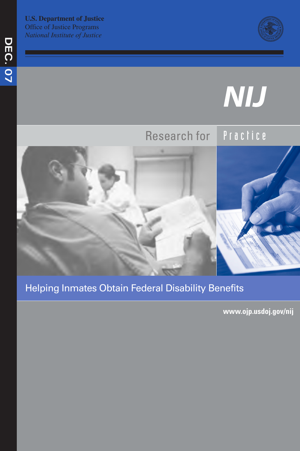**U.S. Department of Justice**  Office of Justice Programs *National Institute of Justice* 



# NIJ



# Helping Inmates Obtain Federal Disability Benefits

**www.ojp.usdoj.gov/nij**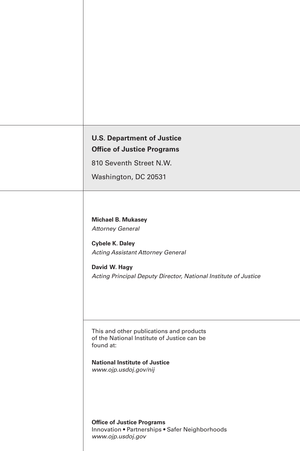| <b>U.S. Department of Justice</b> |  |
|-----------------------------------|--|
| <b>Office of Justice Programs</b> |  |

810 Seventh Street N.W.

Washington, DC 20531

**Michael B. Mukasey**  *Attorney General* 

**Cybele K. Daley**  *Acting Assistant Attorney General* 

**David W. Hagy**  *Acting Principal Deputy Director, National Institute of Justice* 

This and other publications and products of the National Institute of Justice can be found at:

**National Institute of Justice**  *www.ojp.usdoj.gov/nij* 

**Office of Justice Programs**  Innovation • Partnerships • Safer Neighborhoods *www.ojp.usdoj.gov*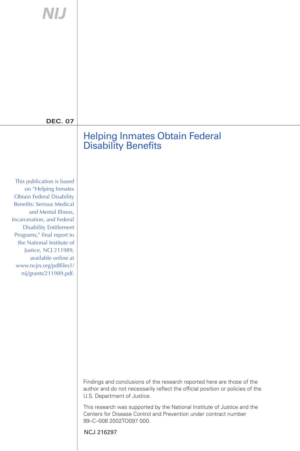| NIJ                                                                                                                                                                                                                                                                                               |                                                                                                                                                                                          |
|---------------------------------------------------------------------------------------------------------------------------------------------------------------------------------------------------------------------------------------------------------------------------------------------------|------------------------------------------------------------------------------------------------------------------------------------------------------------------------------------------|
|                                                                                                                                                                                                                                                                                                   |                                                                                                                                                                                          |
|                                                                                                                                                                                                                                                                                                   |                                                                                                                                                                                          |
|                                                                                                                                                                                                                                                                                                   |                                                                                                                                                                                          |
| <b>DEC. 07</b>                                                                                                                                                                                                                                                                                    |                                                                                                                                                                                          |
|                                                                                                                                                                                                                                                                                                   | <b>Helping Inmates Obtain Federal</b><br><b>Disability Benefits</b>                                                                                                                      |
|                                                                                                                                                                                                                                                                                                   |                                                                                                                                                                                          |
| This publication is based<br>on "Helping Inmates<br><b>Obtain Federal Disability</b><br><b>Benefits: Serious Medical</b><br>and Mental Illness,<br>Incarceration, and Federal<br><b>Disability Entitlement</b><br>Programs," final report to<br>the National Institute of<br>Justice, NCJ 211989, |                                                                                                                                                                                          |
| available online at<br>www.ncjrs.org/pdffiles1/<br>nij/grants/211989.pdf.                                                                                                                                                                                                                         |                                                                                                                                                                                          |
|                                                                                                                                                                                                                                                                                                   |                                                                                                                                                                                          |
|                                                                                                                                                                                                                                                                                                   |                                                                                                                                                                                          |
|                                                                                                                                                                                                                                                                                                   | Findings and conclusions of the research reported here are those of the<br>author and do not necessarily reflect the official position or policies of the<br>U.S. Department of Justice. |
|                                                                                                                                                                                                                                                                                                   | This research was supported by the National Institute of Justice and the<br>Centers for Disease Control and Prevention under contract number<br>99-C-008 2002TO097 000.                  |
|                                                                                                                                                                                                                                                                                                   | NCJ 216297                                                                                                                                                                               |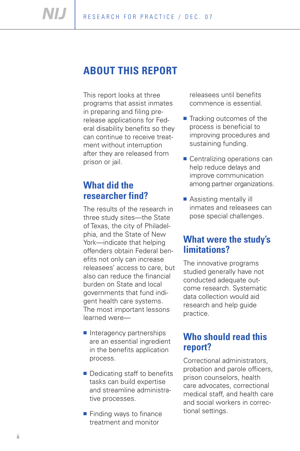# **ABOUT THIS REPORT**

This report looks at three programs that assist inmates in preparing and filing prerelease applications for Federal disability benefits so they can continue to receive treatment without interruption after they are released from prison or jail.

# **What did the researcher find?**

The results of the research in three study sites—the State of Texas, the city of Philadelphia, and the State of New York—indicate that helping offenders obtain Federal benefits not only can increase releasees' access to care, but also can reduce the financial burden on State and local governments that fund indigent health care systems. The most important lessons learned were—

- Interagency partnerships are an essential ingredient in the benefits application process.
- Dedicating staff to benefits tasks can build expertise and streamline administrative processes.
- Finding ways to finance treatment and monitor

releasees until benefits commence is essential.

- Tracking outcomes of the process is beneficial to improving procedures and sustaining funding.
- Centralizing operations can help reduce delays and improve communication among partner organizations.
- Assisting mentally ill inmates and releasees can pose special challenges.

# **What were the study's limitations?**

The innovative programs studied generally have not conducted adequate outcome research. Systematic data collection would aid research and help guide practice.

# **Who should read this report?**

Correctional administrators, probation and parole officers, prison counselors, health care advocates, correctional medical staff, and health care and social workers in correctional settings.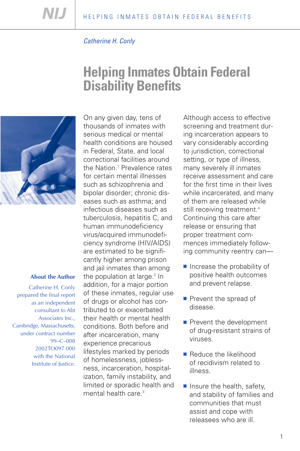# *Catherine H. Conly*

# **Helping Inmates Obtain Federal Disability Benefits**



#### **About the Author**

Catherine H. Conly prepared the final report as an independent consultant to Abt Associates Inc., Cambridge, Massachusetts, under contract number 99–C–008 2002TO097 000 with the National Institute of Justice.

On any given day, tens of thousands of inmates with serious medical or mental health conditions are housed in Federal, State, and local correctional facilities around the Nation.<sup>1</sup> Prevalence rates for certain mental illnesses such as schizophrenia and bipolar disorder; chronic diseases such as asthma; and infectious diseases such as tuberculosis, hepatitis C, and human immunodeficiency virus/acquired immunodeficiency syndrome (HIV/AIDS) are estimated to be significantly higher among prison and jail inmates than among the population at large.<sup>2</sup> In addition, for a major portion of these inmates, regular use of drugs or alcohol has contributed to or exacerbated their health or mental health conditions. Both before and after incarceration, many experience precarious lifestyles marked by periods of homelessness, joblessness, incarceration, hospitalization, family instability, and limited or sporadic health and mental health care.<sup>3</sup>

Although access to effective screening and treatment during incarceration appears to vary considerably according to jurisdiction, correctional setting, or type of illness, many severely ill inmates receive assessment and care for the first time in their lives while incarcerated, and many of them are released while still receiving treatment.<sup>4</sup> Continuing this care after release or ensuring that proper treatment commences immediately following community reentry can—

- Increase the probability of positive health outcomes and prevent relapse.
- Prevent the spread of disease.
- Prevent the development of drug-resistant strains of viruses.
- Reduce the likelihood of recidivism related to illness.
- Insure the health, safety, and stability of families and communities that must assist and cope with releasees who are ill.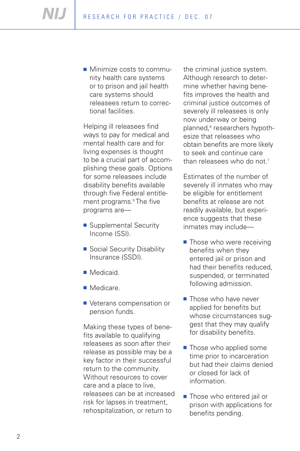■ Minimize costs to community health care systems or to prison and jail health care systems should releasees return to correctional facilities.

Helping ill releasees find ways to pay for medical and mental health care and for living expenses is thought to be a crucial part of accomplishing these goals. Options for some releasees include disability benefits available through five Federal entitlement programs.<sup>5</sup> The five programs are—

- Supplemental Security Income (SSI).
- Social Security Disability Insurance (SSDI).
- Medicaid.
- Medicare.
- Veterans compensation or pension funds.

Making these types of benefits available to qualifying releasees as soon after their release as possible may be a key factor in their successful return to the community. Without resources to cover care and a place to live, releasees can be at increased risk for lapses in treatment, rehospitalization, or return to

the criminal justice system. Although research to determine whether having benefits improves the health and criminal justice outcomes of severely ill releasees is only now underway or being planned,<sup>6</sup> researchers hypothesize that releasees who obtain benefits are more likely to seek and continue care than releasees who do not.<sup>7</sup>

Estimates of the number of severely ill inmates who may be eligible for entitlement benefits at release are not readily available, but experience suggests that these inmates may include—

- Those who were receiving benefits when they entered jail or prison and had their benefits reduced, suspended, or terminated following admission.
- Those who have never applied for benefits but whose circumstances suggest that they may qualify for disability benefits.
- Those who applied some time prior to incarceration but had their claims denied or closed for lack of information.
- Those who entered jail or prison with applications for benefits pending.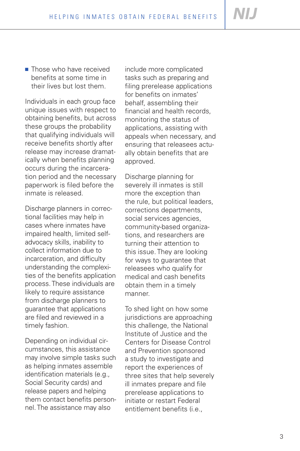■ Those who have received benefits at some time in their lives but lost them.

Individuals in each group face unique issues with respect to obtaining benefits, but across these groups the probability that qualifying individuals will receive benefits shortly after release may increase dramatically when benefits planning occurs during the incarceration period and the necessary paperwork is filed before the inmate is released.

Discharge planners in correctional facilities may help in cases where inmates have impaired health, limited selfadvocacy skills, inability to collect information due to incarceration, and difficulty understanding the complexities of the benefits application process. These individuals are likely to require assistance from discharge planners to guarantee that applications are filed and reviewed in a timely fashion.

Depending on individual cir cumstances, this assistance may involve simple tasks such as helping inmates assemble identification materials (e.g., Social Security cards) and release papers and helping them contact benefits personnel. The assistance may also

include more complicated tasks such as preparing and filing prerelease applications for benefits on inmates' behalf, assembling their financial and health records, monitoring the status of applications, assisting with appeals when necessary, and ensuring that releasees actually obtain benefits that are approved.

Discharge planning for severely ill inmates is still more the exception than the rule, but political leaders, corrections departments, social services agencies, community-based organizations, and researchers are turning their attention to this issue. They are looking for ways to guarantee that releasees who qualify for medical and cash benefits obtain them in a timely manner.<br>To shed light on how some

jurisdictions are approaching this challenge, the National Institute of Justice and the Centers for Disease Control and Prevention sponsored a study to investigate and report the experiences of three sites that help severely ill inmates prepare and file prerelease applications to initiate or restart Federal entitlement benefits (i.e.,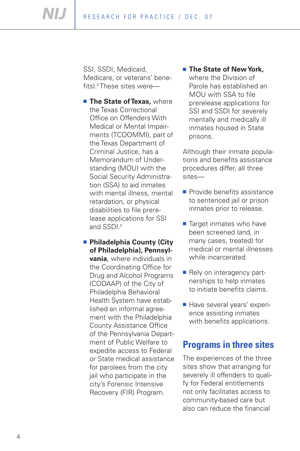NIJ R ESEARCH FOR PRACTICE / DEC. 07

> SSI, SSDI, Medicaid, Medicare, or veterans' benefits).8 These sites were—

- **Example State of Texas, where** the Texas Correctional Office on Offenders With Medical or Mental Impairments (TCOOMMI), part of the Texas Department of Criminal Justice, has a Memorandum of Understanding (MOU) with the Social Security Administration (SSA) to aid inmates with mental illness, mental retardation, or physical disabilities to file prerelease applications for SSI and SSDI.<sup>9</sup>
- **Philadelphia County (City of Philadelphia), Pennsylvania**, where individuals in the Coordinating Office for Drug and Alcohol Programs (CODAAP) of the City of Philadelphia Behavioral Health System have established an informal agreement with the Philadelphia County Assistance Office of the Pennsylvania Department of Public Welfare to expedite access to Federal or State medical assistance for parolees from the city jail who participate in the city's Forensic Intensive Recovery (FIR) Program.

**❋ The State of New York,**  where the Division of Parole has established an MOU with SSA to file prerelease applications for SSI and SSDI for severely mentally and medically ill inmates housed in State prisons.

Although their inmate populations and benefits assistance procedures differ, all three sites—

- Provide benefits assistance to sentenced jail or prison inmates prior to release.
- Target inmates who have been screened (and, in many cases, treated) for medical or mental illnesses while incarcerated.
- Rely on interagency partnerships to help inmates to initiate benefits claims.
- Have several years' experience assisting inmates with benefits applications.

# **Programs in three sites**

The experiences of the three sites show that arranging for severely ill offenders to qualify for Federal entitlements not only facilitates access to community-based care but also can reduce the financial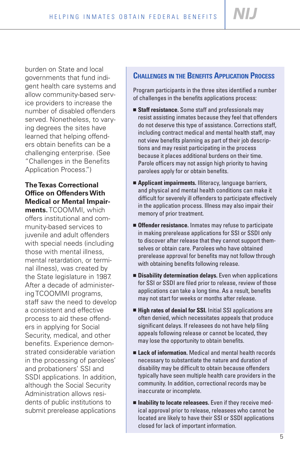**NIJ** 

burden on State and local governments that fund indigent health care systems and allow community-based service providers to increase the number of disabled offenders served. Nonetheless, to varying degrees the sites have learned that helping offenders obtain benefits can be a challenging enterprise. (See "Challenges in the Benefits Application Process.")

# **The Texas Correctional Office on Offenders With Medical or Mental Impair-**

**ments.** TCOOMMI, which offers institutional and community-based services to juvenile and adult offenders with special needs (including those with mental illness, mental retardation, or terminal illness), was created by the State legislature in 1987. After a decade of administering TCOOMMI programs, staff saw the need to develop a consistent and effective process to aid these offenders in applying for Social Security, medical, and other benefits. Experience demonstrated considerable variation in the processing of parolees' and probationers' SSI and SSDI applications. In addition, although the Social Security Administration allows residents of public institutions to submit prerelease applications

# **CHALLENGES IN THE BENEFITS APPLICATION PROCESS**

Program participants in the three sites identified a number of challenges in the benefits applications process:

- **Staff resistance.** Some staff and professionals may resist assisting inmates because they feel that offenders do not deserve this type of assistance. Corrections staff, including contract medical and mental health staff, may not view benefits planning as part of their job descriptions and may resist participating in the process because it places additional burdens on their time. Parole officers may not assign high priority to having parolees apply for or obtain benefits.
- **Applicant impairments.** Illiteracy, language barriers, and physical and mental health conditions can make it difficult for severely ill offenders to participate effectively in the application process. Illness may also impair their memory of prior treatment.
- **Offender resistance.** Inmates may refuse to participate in making prerelease applications for SSI or SSDI only to discover after release that they cannot support themselves or obtain care. Parolees who have obtained prerelease approval for benefits may not follow through with obtaining benefits following release.
- **Disability determination delays.** Even when applications for SSI or SSDI are filed prior to release, review of those applications can take a long time. As a result, benefits may not start for weeks or months after release.
- **High rates of denial for SSI.** Initial SSI applications are often denied, which necessitates appeals that produce significant delays. If releasees do not have help filing appeals following release or cannot be located, they may lose the opportunity to obtain benefits.
- **Lack of information.** Medical and mental health records necessary to substantiate the nature and duration of disability may be difficult to obtain because offenders typically have seen multiple health care providers in the community. In addition, correctional records may be inaccurate or incomplete.
- **Inability to locate releasees.** Even if they receive medical approval prior to release, releasees who cannot be located are likely to have their SSI or SSDI applications closed for lack of important information.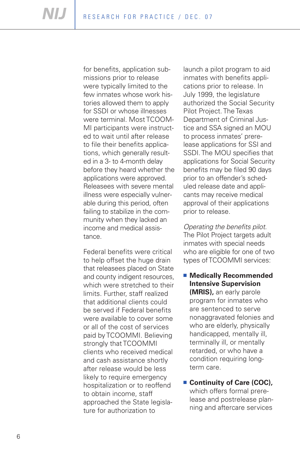were typically limited to the for benefits, application submissions prior to release few inmates whose work histories allowed them to apply for SSDI or whose illnesses were terminal. Most TCOOM-MI participants were instructed to wait until after release to file their benefits applications, which generally resulted in a 3- to 4-month delay before they heard whether the applications were approved. Releasees with severe mental illness were especially vulnerable during this period, often failing to stabilize in the community when they lacked an income and medical assistance.

Federal benefits were critical to help offset the huge drain that releasees placed on State and county indigent resources, which were stretched to their limits. Further, staff realized that additional clients could be served if Federal benefits were available to cover some or all of the cost of services paid by TCOOMMI. Believing strongly that TCOOMMI clients who received medical and cash assistance shortly after release would be less likely to require emergency hospitalization or to reoffend to obtain income, staff approached the State legislature for authorization to

launch a pilot program to aid inmates with benefits applications prior to release. In July 1999, the legislature authorized the Social Security Pilot Project. The Texas Department of Criminal Justice and SSA signed an MOU to process inmates' prerelease applications for SSI and SSDI. The MOU specifies that applications for Social Security benefits may be filed 90 days prior to an offender's scheduled release date and applicants may receive medical approval of their applications prior to release.

*Operating the benefits pilot.*  The Pilot Project targets adult inmates with special needs who are eligible for one of two types of TCOOMMI services:

■ **Medically Recommended Intensive Supervision (MRIS),** an early parole program for inmates who are sentenced to serve nonaggravated felonies and who are elderly, physically handicapped, mentally ill, terminally ill, or mentally retarded, or who have a condition requiring longterm care.

#### **❋ Continuity of Care (COC),**  which offers formal prerelease and postrelease planning and aftercare services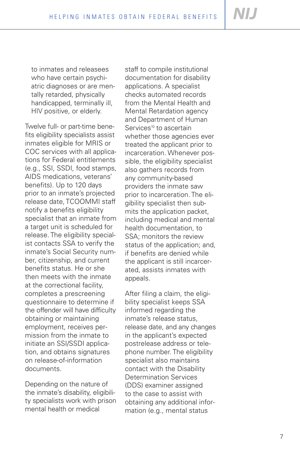to inmates and releasees who have certain psychiatric diagnoses or are mentally retarded, physically handicapped, terminally ill, HIV positive, or elderly.

Twelve full- or part-time benefits eligibility specialists assist inmates eligible for MRIS or COC services with all applications for Federal entitlements (e.g., SSI, SSDI, food stamps, AIDS medications, veterans' benefits). Up to 120 days prior to an inmate's projected release date, TCOOMMI staff notify a benefits eligibility specialist that an inmate from a target unit is scheduled for release. The eligibility specialist contacts SSA to verify the inmate's Social Security number, citizenship, and current benefits status. He or she then meets with the inmate at the correctional facility, completes a prescreening questionnaire to determine if the offender will have difficulty obtaining or maintaining employment, receives permission from the inmate to initiate an SSI/SSDI application, and obtains signatures on release-of-information documents.

Depending on the nature of the inmate 's disabilit y, eligibili ty specialists work with prison mental health or medical

staff to compile institutional documentation for disability applications. A specialist checks automated records from the Mental Health and Mental Retardation agency and Department of Human Services<sup>10</sup> to ascertain whether those agencies ever treated the applicant prior to incarceration. Whenever possible, the eligibility specialist also gathers records from any community-based providers the inmate saw prior to incarceration. The eligibility specialist then submits the application packet, including medical and mental health documentation, to SSA; monitors the review status of the application; and, if benefits are denied while the applicant is still incarcerated, assists inmates with appeals.

After filing a claim, the eligibility specialist keeps SSA informed regarding the inmate's release status, release date, and any changes in the applicant's expected postrelease address or telephone number. The eligibility specialist also maintains contact with the Disability Determination Services (DDS) examiner assigned to the case to assist with obtaining any additional information (e.g., mental status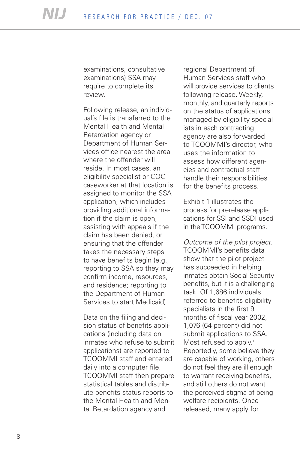examinations, consultative examinations) SSA may require to complete its review.

Following release, an individual's file is transferred to the Mental Health and Mental Retardation agency or Department of Human Services office nearest the area where the offender will reside. In most cases, an eligibility specialist or COC caseworker at that location is assigned to monitor the SSA application, which includes providing additional information if the claim is open, assisting with appeals if the claim has been denied, or ensuring that the offender takes the necessary steps to have benefits begin (e.g., reporting to SSA so they may confirm income, resources, and residence; reporting to the Department of Human Services to start Medicaid).

Data on the filing and decision status of benefits applications (including data on inmates who refuse to submit applications) are reported to TCOOMMI staff and entered daily into a computer file. TCOOMMI staff then prepare statistical tables and distribute benefits status reports to the Mental Health and Mental Retardation agency and

regional Department of Human Services staff who will provide services to clients following release. Weekly, monthly, and quarterly reports on the status of applications managed by eligibility specialists in each contracting agency are also forwarded to TCOOMMI's director, who uses the information to assess how different agencies and contractual staff handle their responsibilities for the benefits process.

Exhibit 1 illustrates the process for prerelease applications for SSI and SSDI used in the TCOOMMI programs.

*Outcome of the pilot project.*  TCOOMMI's benefits data show that the pilot project has succeeded in helping inmates obtain Social Security benefits, but it is a challenging task. Of 1,686 individuals referred to benefits eligibility specialists in the first 9 months of fiscal year 2002, 1,076 (64 percent) did not submit applications to SSA. Most refused to apply.<sup>11</sup> Reportedly, some believe they are capable of working, others do not feel they are ill enough to warrant receiving benefits, and still others do not want the perceived stigma of being welfare recipients. Once released, many apply for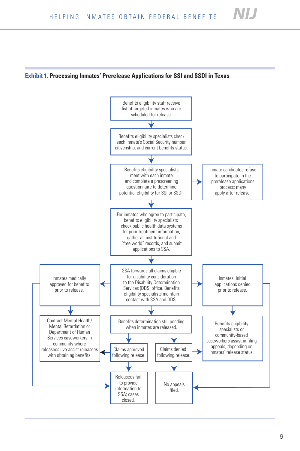NI I

## **Exhibit 1. Processing Inmates' Prerelease Applications for SSI and SSDI in Texas**

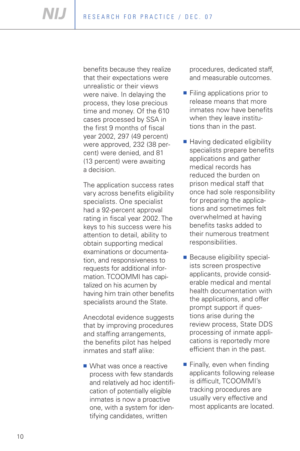benefits because they realize that their expectations were unrealistic or their views were naive. In delaying the process, they lose precious time and money. Of the 610 cases processed by SSA in the first 9 months of fiscal year 2002, 297 (49 percent) were approved, 232 (38 percent) were denied, and 81 (13 percent) were awaiting a decision.

The application success rates vary across benefits eligibility specialists. One specialist had a 92-percent approval rating in fiscal year 2002. The keys to his success were his attention to detail, ability to obtain supporting medical examinations or documentation, and responsiveness to requests for additional information. TCOOMMI has capi talized on his acumen by having him train other benefits specialists around the State.

Anecdotal evidence suggests that by improving procedures and staffing arrangements, the benefits pilot has helped inmates and staff alike:

■ What was once a reactive process with few standards and relatively ad hoc identification of potentially eligible inmates is now a proactive one, with a system for identifying candidates, written

procedures, dedicated staff, and measurable outcomes.

- Filing applications prior to release means that more inmates now have benefits when they leave institutions than in the past.
- Having dedicated eligibility specialists prepare benefits applications and gather medical records has reduced the burden on prison medical staff that once had sole responsibility for preparing the applications and sometimes felt overwhelmed at having benefits tasks added to their numerous treatment responsibilities.
- Because eligibility specialists screen prospective applicants, provide considerable medical and mental health documentation with the applications, and offer prompt support if questions arise during the review process, State DDS processing of inmate applications is reportedly more efficient than in the past.
- Finally, even when finding applicants following release is difficult, TCOOMMI's tracking procedures are usually very effective and most applicants are located.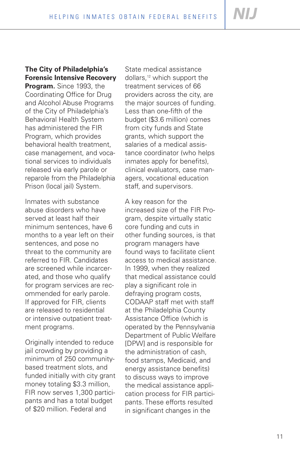# **The City of Philadelphia's Forensic Intensive Recovery**

**Program.** Since 1993, the Coordinating Office for Drug and Alcohol Abuse Programs of the City of Philadelphia's Behavioral Health System has administered the FIR Program, which provides behavioral health treatment, case management, and vocational services to individuals released via early parole or reparole from the Philadelphia Prison (local jail) System.

Inmates with substance abuse disorders who have served at least half their minimum sentences, have 6 months to a year left on their sentences, and pose no threat to the community are referred to FIR. Candidates are screened while incarcerated, and those who qualify for program services are recommended for early parole. If approved for FIR, clients are released to residential or intensive outpatient treatment programs.

Originally intended to reduce jail crowding by providing a minimum of 250 communitybased treatment slots, and funded initially with city grant money totaling \$3.3 million, FIR now serves 1,300 participants and has a total budget of \$20 million. Federal and

State medical assistance dollars,12 which support the treatment services of 66 providers across the city, are the major sources of funding. Less than one-fifth of the budget (\$3.6 million) comes from city funds and State grants, which support the salaries of a medical assistance coordinator (who helps inmates apply for benefits), clinical evaluators, case managers, vocational education staff, and supervisors.

A key reason for the increased size of the FIR Program, despite virtually static core funding and cuts in other funding sources, is that program managers have found ways to facilitate client access to medical assistance. In 1999, when they realized that medical assistance could play a significant role in defraying program costs, CODAAP staff met with staff at the Philadelphia County Assistance Office (which is operated by the Pennsylvania Department of Public Welfare [DPW] and is responsible for the administration of cash, food stamps, Medicaid, and energy assistance benefits) to discuss ways to improve the medical assistance application process for FIR participants. These efforts resulted in significant changes in the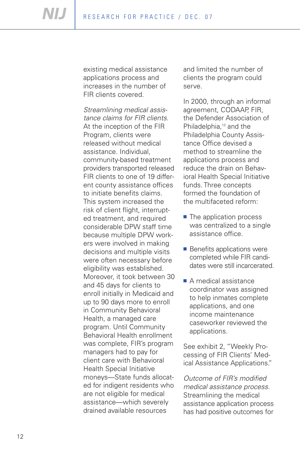existing medical assistance applications process and increases in the number of FIR clients covered.

*Streamlining medical assistance claims for FIR clients.*  At the inception of the FIR Program, clients were released without medical assistance. Individual, community-based treatment providers transported released FIR clients to one of 19 different county assistance offices to initiate benefits claims. This system increased the risk of client flight, interrupted treatment, and required considerable DPW staff time because multiple DPW workers were involved in making decisions and multiple visits were often necessary before eligibility was established. Moreover, it took between 30 and 45 days for clients to enroll initially in Medicaid and up to 90 days more to enroll in Community Behavioral Health, a managed care program. Until Community Behavioral Health enrollment was complete, FIR's program managers had to pay for client care with Behavioral Health Special Initiative moneys—State funds allocated for indigent residents who are not eligible for medical assistance—which severely drained available resources

and limited the number of clients the program could serve.

In 2000, through an informal agreement, CODAAP, FIR, the Defender Association of Philadelphia,<sup>13</sup> and the Philadelphia County Assistance Office devised a method to streamline the applications process and reduce the drain on Behavioral Health Special Initiative funds. Three concepts formed the foundation of the multifaceted reform:

- The application process was centralized to a single assistance office.
- Benefits applications were completed while FIR candidates were still incarcerated.
- A medical assistance coordinator was assigned to help inmates complete applications, and one income maintenance caseworker reviewed the applications.

See exhibit 2, "Weekly Processing of FIR Clients' Medical Assistance Applications."

*Outcome of FIR's modified medical assistance process.*  Streamlining the medical assistance application process has had positive outcomes for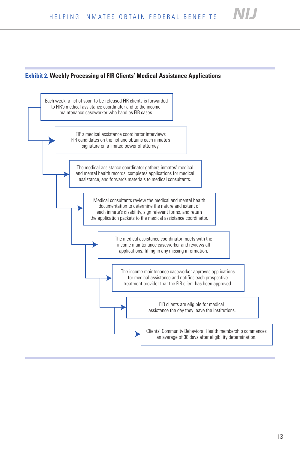#### **Exhibit 2. Weekly Processing of FIR Clients' Medical Assistance Applications**

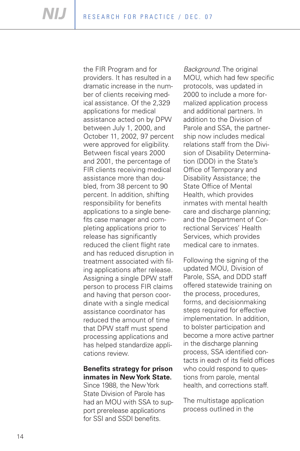providers. It has resulted in a dramatic increase in the num- applications to a single benethe FIR Program and for ber of clients receiving medical assistance. Of the 2,329 applications for medical assistance acted on by DPW between July 1, 2000, and October 11, 2002, 97 percent were approved for eligibility. Between fiscal years 2000 and 2001, the percentage of FIR clients receiving medical assistance more than doubled, from 38 percent to 90 percent. In addition, shifting responsibility for benefits fits case manager and completing applications prior to release has significantly reduced the client flight rate and has reduced disruption in treatment associated with filing applications after release. Assigning a single DPW staff person to process FIR claims and having that person coordinate with a single medical assistance coordinator has reduced the amount of time that DPW staff must spend processing applications and has helped standardize applications review.

### **Benefits strategy for prison inmates in New York State.**

Since 1988, the New York State Division of Parole has had an MOU with SSA to support prerelease applications for SSI and SSDI benefits.

*Background.* The original MOU, which had few specific protocols, was updated in 2000 to include a more formalized application process and additional partners. In addition to the Division of Parole and SSA, the partnership now includes medical relations staff from the Division of Disability Determination (DDD) in the State's Office of Temporary and Disability Assistance; the State Office of Mental Health, which provides inmates with mental health care and discharge planning; and the Department of Correctional Services' Health Services, which provides medical care to inmates.

Following the signing of the updated MOU, Division of Parole, SSA, and DDD staff offered statewide training on the process, procedures, forms, and decisionmaking steps required for effective implementation. In addition, to bolster participation and become a more active partner in the discharge planning process, SSA identified contacts in each of its field offices who could respond to questions from parole, mental health, and corrections staff.

The multistage application process outlined in the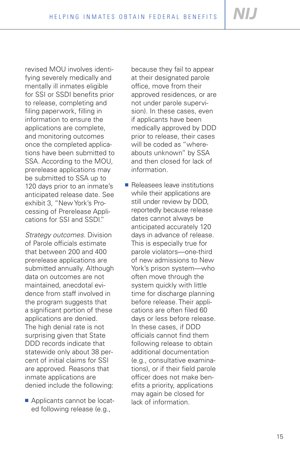revised MOU involves identifying severely medically and mentally ill inmates eligible for SSI or SSDI benefits prior to release, completing and filing paperwork, filling in information to ensure the applications are complete, and monitoring outcomes once the completed applications have been submitted to SSA. According to the MOU, prerelease applications may be submitted to SSA up to 120 days prior to an inmate's anticipated release date. See exhibit 3, "New York's Processing of Prerelease Applications for SSI and SSDI."

*Strategy outcomes.* Division of Parole officials estimate that between 200 and 400 prerelease applications are submitted annually. Although data on outcomes are not maintained, anecdotal evidence from staff involved in the program suggests that a significant portion of these applications are denied. The high denial rate is not surprising given that State DDD records indicate that statewide only about 38 percent of initial claims for SSI are approved. Reasons that inmate applications are denied include the following:

■ Applicants cannot be located following release (e.g.,

because they fail to appear at their designated parole office, move from their approved residences, or are not under parole supervision). In these cases, even if applicants have been medically approved by DDD prior to release, their cases will be coded as "whereabouts unknown" by SSA and then closed for lack of information.

■ Releasees leave institutions while their applications are still under review by DDD, reportedly because release dates cannot always be anticipated accurately 120 days in advance of release. This is especially true for parole violators—one-third of new admissions to New York's prison system—who often move through the system quickly with little time for discharge planning before release. Their applications are often filed 60 days or less before release. In these cases, if DDD officials cannot find them following release to obtain additional documentation (e.g., consultative examinations), or if their field parole officer does not make benefits a priority, applications may again be closed for lack of information.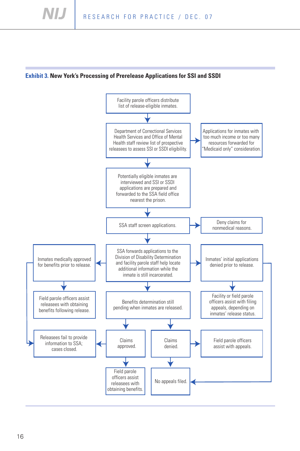#### **Exhibit 3. New York's Processing of Prerelease Applications for SSI and SSDI**

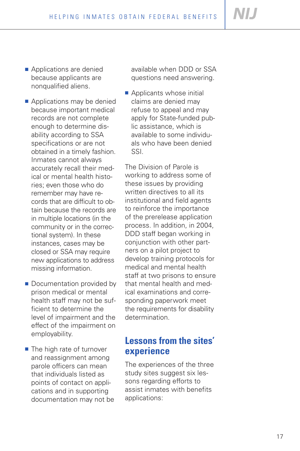- Applications are denied because applicants are nonqualified aliens.
- Applications may be denied because important medical records are not complete enough to determine disability according to SSA specifications or are not obtained in a timely fashion. Inmates cannot always accurately recall their medical or mental health histories; even those who do remember may have records that are difficult to obtain because the records are in multiple locations (in the community or in the correctional system). In these instances, cases may be closed or SSA may require new applications to address missing information.
- Documentation provided bv prison medical or mental health staff may not be sufficient to determine the level of impairment and the effect of the impairment on employability.
- The high rate of turnover and reassignment among parole officers can mean that individuals listed as points of contact on applications and in supporting documentation may not be

available when DDD or SSA questions need answering.

■ Applicants whose initial claims are denied may refuse to appeal and may apply for State-funded public assistance, which is available to some individuals who have been denied SSI.

The Division of Parole is working to address some of these issues by providing written directives to all its institutional and field agents to reinforce the importance of the prerelease application process. In addition, in 2004, DDD staff began working in conjunction with other partners on a pilot project to develop training protocols for medical and mental health staff at two prisons to ensure that mental health and medical examinations and corresponding paperwork meet the requirements for disability determination.

# **Lessons from the sites' experience**

The experiences of the three study sites suggest six lessons regarding efforts to assist inmates with benefits applications: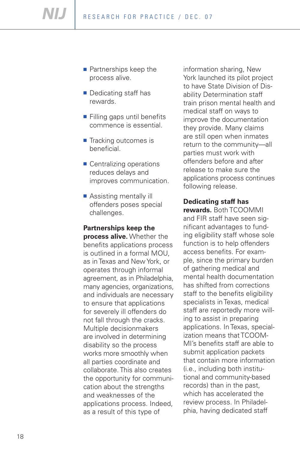- Partnerships keep the process alive.
- Dedicating staff has rewards.
- Filling gaps until benefits commence is essential.
- Tracking outcomes is beneficial.
- Centralizing operations reduces delays and improves communication.
- Assisting mentally ill offenders poses special challenges.

#### **Partnerships keep the**

**process alive.** Whether the benefits applications process is outlined in a formal MOU, as in Texas and New York, or operates through informal agreement, as in Philadelphia, many agencies, organizations, and individuals are necessary to ensure that applications for severely ill offenders do not fall through the cracks. Multiple decisionmakers are involved in determining disability so the process works more smoothly when all parties coordinate and collaborate. This also creates the opportunity for communication about the strengths and weaknesses of the applications process. Indeed, as a result of this type of

information sharing, New York launched its pilot project to have State Division of Disability Determination staff train prison mental health and medical staff on ways to improve the documentation they provide. Many claims are still open when inmates return to the community—all parties must work with offenders before and after release to make sure the applications process continues following release.

#### **Dedicating staff has**

**rewards.** Both TCOOMMI and FIR staff have seen significant advantages to funding eligibility staff whose sole function is to help offenders access benefits. For example, since the primary burden of gathering medical and mental health documentation has shifted from corrections staff to the benefits eligibility specialists in Texas, medical staff are reportedly more willing to assist in preparing applications. In Texas, specialization means that TCOOM-MI's benefits staff are able to submit application packets that contain more information (i.e., including both institutional and community-based records) than in the past, which has accelerated the review process. In Philadelphia, having dedicated staff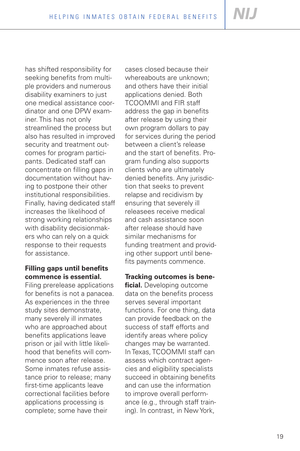has shifted responsibility for seeking benefits from multiple providers and numerous disability examiners to just one medical assistance coordinator and one DPW examiner. This has not only streamlined the process but also has resulted in improved security and treatment outcomes for program participants. Dedicated staff can concentrate on filling gaps in documentation without having to postpone their other institutional responsibilities. Finally, having dedicated staff increases the likelihood of strong working relationships with disability decisionmakers who can rely on a quick response to their requests for assistance.

## **Filling gaps until benefits commence is essential.**

Filing prerelease applications for benefits is not a panacea. As experiences in the three study sites demonstrate, many severely ill inmates who are approached about benefits applications leave prison or jail with little likelihood that benefits will commence soon after release. Some inmates refuse assistance prior to release; many first-time applicants leave correctional facilities before applications processing is complete; some have their

cases closed because their whereabouts are unknown; and others have their initial applications denied. Both TCOOMMI and FIR staff address the gap in benefits after release by using their own program dollars to pay for services during the period between a client's release and the start of benefits. Program funding also supports clients who are ultimately denied benefits. Any jurisdiction that seeks to prevent relapse and recidivism by ensuring that severely ill releasees receive medical and cash assistance soon after release should have similar mechanisms for funding treatment and providing other support until benefits payments commence.

### **Tracking outcomes is bene-**

**ficial.** Developing outcome data on the benefits process serves several important functions. For one thing, data can provide feedback on the success of staff efforts and identify areas where policy changes may be warranted. In Texas, TCOOMMI staff can assess which contract agencies and eligibility specialists succeed in obtaining benefits and can use the information to improve overall performance (e.g., through staff training). In contrast, in New York,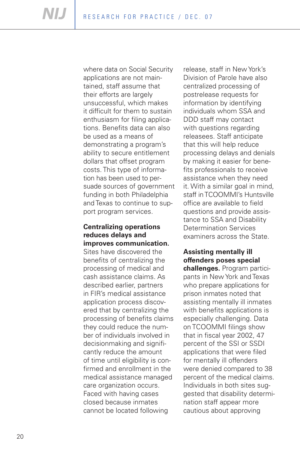where data on Social Security applications are not maintained, staff assume that their efforts are largely unsuccessful, which makes it difficult for them to sustain enthusiasm for filing applications. Benefits data can also be used as a means of demonstrating a program's ability to secure entitlement dollars that offset program costs. This type of information has been used to persuade sources of government funding in both Philadelphia and Texas to continue to support program services.

#### **Centralizing operations reduces delays and improves communication.**

Sites have discovered the benefits of centralizing the processing of medical and cash assistance claims. As described earlier, partners in FIR's medical assistance application process discovered that by centralizing the processing of benefits claims they could reduce the number of individuals involved in decisionmaking and significantly reduce the amount of time until eligibility is confirmed and enrollment in the medical assistance managed care organization occurs. Faced with having cases closed because inmates cannot be located following

release, staff in New York's Division of Parole have also centralized processing of postrelease requests for information by identifying individuals whom SSA and DDD staff may contact with questions regarding releasees. Staff anticipate that this will help reduce processing delays and denials by making it easier for benefits professionals to receive assistance when they need it. With a similar goal in mind, staff in TCOOMMI's Huntsville office are available to field questions and provide assistance to SSA and Disability Determination Services examiners across the State.

## **Assisting mentally ill offenders poses special**

**challenges.** Program participants in New York and Texas who prepare applications for prison inmates noted that assisting mentally ill inmates with benefits applications is especially challenging. Data on TCOOMMI filings show that in fiscal year 2002, 47 percent of the SSI or SSDI applications that were filed for mentally ill offenders were denied compared to 38 percent of the medical claims. Individuals in both sites suggested that disability determination staff appear more cautious about approving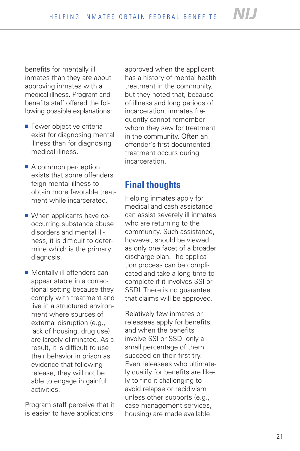benefits for mentally ill inmates than they are about approving inmates with a medical illness. Program and benefits staff offered the following possible explanations:

- Fewer objective criteria exist for diagnosing mental illness than for diagnosing medical illness.
- A common perception exists that some offenders feign mental illness to obtain more favorable treatment while incarcerated.
- When applicants have cooccurring substance abuse disorders and mental illness, it is difficult to determine which is the primary diagnosis.
- Mentally ill offenders can appear stable in a correctional setting because they comply with treatment and live in a structured environment where sources of external disruption (e.g., lack of housing, drug use) are largely eliminated. As a result, it is difficult to use their behavior in prison as evidence that following release, they will not be able to engage in gainful activities.

Program staff perceive that it is easier to have applications

approved when the applicant has a history of mental health treatment in the community, but they noted that, because of illness and long periods of incarceration, inmates frequently cannot remember whom they saw for treatment in the community. Often an offender's first documented treatment occurs during incarceration.

# **Final thoughts**

Helping inmates apply for medical and cash assistance can assist severely ill inmates who are returning to the community. Such assistance, however, should be viewed as only one facet of a broader discharge plan. The application process can be complicated and take a long time to complete if it involves SSI or SSDI. There is no guarantee that claims will be approved.

Relatively few inmates or releasees apply for benefits, and when the benefits involve SSI or SSDI only a small percentage of them succeed on their first try. Even releasees who ultimately qualify for benefits are likely to find it challenging to avoid relapse or recidivism unless other supports (e.g., case management services, housing) are made available.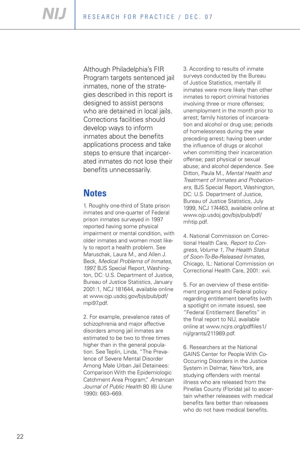Although Philadelphia's FIR Program targets sentenced jail inmates, none of the strategies described in this report is designed to assist persons who are detained in local jails. Corrections facilities should develop ways to inform inmates about the benefits applications process and take steps to ensure that incarcerated inmates do not lose their benefits unnecessarily.

# **Notes**

1. Roughly one-third of State prison inmates and one-quarter of Federal prison inmates surveyed in 1997 reported having some physical impairment or mental condition, with older inmates and women most likely to report a health problem. See Maruschak, Laura M., and Allen J. Beck, *Medical Problems of Inmates, 1997,* BJS Special Report, Washington, DC: U.S. Department of Justice, Bureau of Justice Statistics, January 2001:1, NCJ 181644, available online at www.ojp.usdoj.gov/bjs/pub/pdf/ mpi97.pdf.

2. For example, prevalence rates of schizophrenia and major affective disorders among jail inmates are estimated to be two to three times higher than in the general population. See Teplin, Linda, "The Prevalence of Severe Mental Disorder Among Male Urban Jail Detainees: Comparison With the Epidemiologic Catchment Area Program," *American Journal of Public Health* 80 (6) (June 1990): 663–669.

3. According to results of inmate surveys conducted by the Bureau of Justice Statistics, mentally ill inmates were more likely than other inmates to report criminal histories involving three or more offenses; unemployment in the month prior to arrest; family histories of incarceration and alcohol or drug use; periods of homelessness during the year preceding arrest; having been under the influence of drugs or alcohol when committing their incarceration offense; past physical or sexual abuse; and alcohol dependence. See Ditton, Paula M., *Mental Health and Treatment of Inmates and Probationers,* BJS Special Report, Washington, DC: U.S. Department of Justice, Bureau of Justice Statistics, July 1999, NCJ 174463, available online at www.ojp.usdoj.gov/bjs/pub/pdf/ mhtip.pdf.

4. National Commission on Correctional Health Care, *Report to Congress, Volume 1, The Health Status of Soon-To-Be-Released Inmates,*  Chicago, IL: National Commission on Correctional Health Care, 2001: xvii.

5. For an overview of these entitlement programs and Federal policy regarding entitlement benefits (with a spotlight on inmate issues), see "Federal Entitlement Benefits" in the final report to NIJ, available online at www.ncjrs.org/pdffiles1/ nij/grants/211989.pdf.

6. Researchers at the National GAINS Center for People With Co-Occurring Disorders in the Justice System in Delmar, New York, are studying offenders with mental illness who are released from the Pinellas County (Florida) jail to ascertain whether releasees with medical benefits fare better than releasees who do not have medical benefits.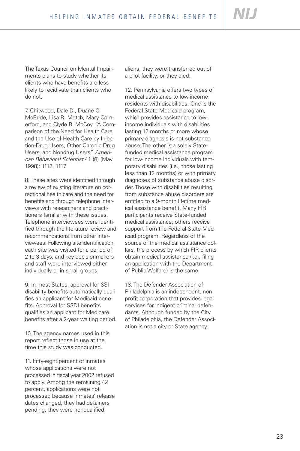The Texas Council on Mental Impairments plans to study whether its clients who have benefits are less likely to recidivate than clients who do not.

7. Chitwood, Dale D., Duane C. McBride, Lisa R. Metch, Mary Comerford, and Clyde B. McCoy, "A Comparison of the Need for Health Care and the Use of Health Care by Injection-Drug Users, Other Chronic Drug Users, and Nondrug Users," *American Behavioral Scientist* 41 (8) (May 1998): 1112, 1117.

8. These sites were identified through a review of existing literature on correctional health care and the need for benefits and through telephone interviews with researchers and practitioners familiar with these issues. Telephone interviewees were identified through the literature review and recommendations from other interviewees. Following site identification, each site was visited for a period of 2 to 3 days, and key decisionmakers and staff were interviewed either individually or in small groups.

9. In most States, approval for SSI disability benefits automatically qualifies an applicant for Medicaid benefits. Approval for SSDI benefits qualifies an applicant for Medicare benefits after a 2-year waiting period.

10. The agency names used in this report reflect those in use at the time this study was conducted.

11. Fifty-eight percent of inmates whose applications were not processed in fiscal year 2002 refused to apply. Among the remaining 42 percent, applications were not processed because inmates' release dates changed, they had detainers pending, they were nonqualified

aliens, they were transferred out of a pilot facility, or they died.

12. Pennsylvania offers two types of medical assistance to low-income residents with disabilities. One is the Federal-State Medicaid program, which provides assistance to lowincome individuals with disabilities lasting 12 months or more whose primary diagnosis is not substance abuse. The other is a solely Statefunded medical assistance program for low-income individuals with temporary disabilities (i.e., those lasting less than 12 months) or with primary diagnoses of substance abuse disorder. Those with disabilities resulting from substance abuse disorders are entitled to a 9-month lifetime medical assistance benefit. Many FIR participants receive State-funded medical assistance; others receive support from the Federal-State Medicaid program. Regardless of the source of the medical assistance dollars, the process by which FIR clients obtain medical assistance (i.e., filing an application with the Department of Public Welfare) is the same.

13. The Defender Association of Philadelphia is an independent, nonprofit corporation that provides legal services for indigent criminal defendants. Although funded by the City of Philadelphia, the Defender Association is not a city or State agency.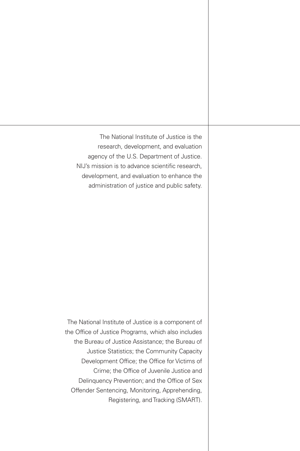The National Institute of Justice is the research, development, and evaluation agency of the U.S. Department of Justice. NIJ's mission is to advance scientific research, development, and evaluation to enhance the administration of justice and public safety.

The National Institute of Justice is a component of the Office of Justice Programs, which also includes the Bureau of Justice Assistance; the Bureau of Justice Statistics; the Community Capacity Development Office; the Office for Victims of Crime; the Office of Juvenile Justice and Delinquency Prevention; and the Office of Sex Offender Sentencing, Monitoring, Apprehending, Registering, and Tracking (SMART).